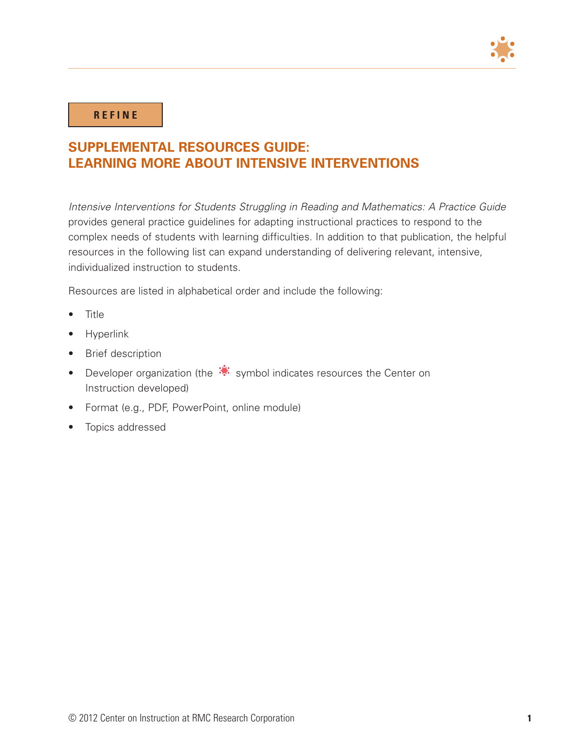

## **R E F I N E**

## **SUPPLEMENTAL RESOURCES GUIDE: LEARNING MORE ABOUT INTENSIVE INTERVENTIONS**

*Intensive Interventions for Students Struggling in Reading and Mathematics: A Practice Guide* provides general practice guidelines for adapting instructional practices to respond to the complex needs of students with learning difficulties. In addition to that publication, the helpful resources in the following list can expand understanding of delivering relevant, intensive, individualized instruction to students.

Resources are listed in alphabetical order and include the following:

- • Title
- **Hyperlink**
- **Brief description**
- Developer organization (the  $\ddot{\ddot{\cdot}}$  symbol indicates resources the Center on Instruction developed)
- Format (e.g., PDF, PowerPoint, online module)
- • Topics addressed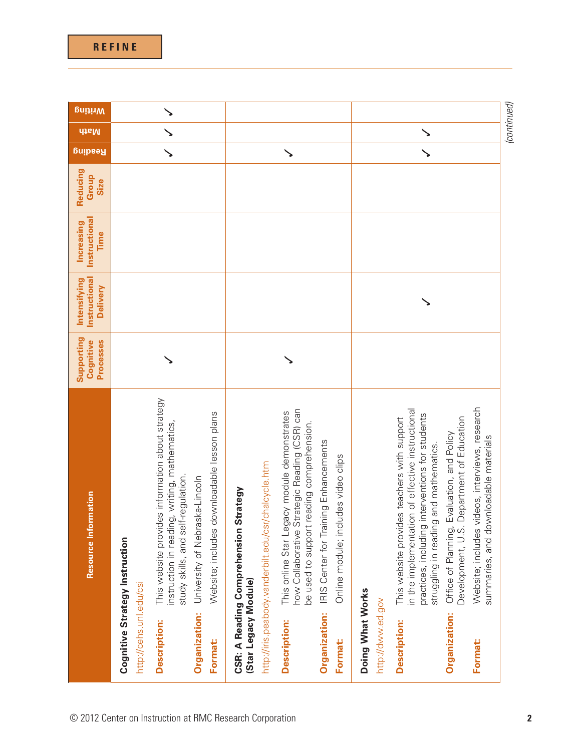|                                       | Resource Information                                                                                                                                                                         | Supporting<br>Processes<br>Cognitive | Instructional<br>Intensifying<br>Delivery | Instructional<br>Increasing<br>Time | Reducing<br>Group<br><b>Size</b> | Resqing | <b>dtsM</b> |
|---------------------------------------|----------------------------------------------------------------------------------------------------------------------------------------------------------------------------------------------|--------------------------------------|-------------------------------------------|-------------------------------------|----------------------------------|---------|-------------|
| http://cehs.unl.edu/csi               | Cognitive Strategy Instruction                                                                                                                                                               |                                      |                                           |                                     |                                  |         |             |
| <b>Description:</b>                   | This website provides information about strategy<br>instruction in reading, writing, mathematics,<br>study skills, and self-regulation.                                                      |                                      |                                           |                                     |                                  |         |             |
| Organization:<br>Format:              | s downloadable lesson plans<br>University of Nebraska-Lincoln<br>Website; include                                                                                                            |                                      |                                           |                                     |                                  |         |             |
| (Star Legacy Module)                  | http://iris.peabody.vanderbilt.edu/csr/chalcycle.htm<br><b>CSR: A Reading Comprehension Strategy</b>                                                                                         |                                      |                                           |                                     |                                  |         |             |
| <b>Description:</b>                   | how Collaborative Strategic Reading (CSR) can<br>This online Star Legacy module demonstrates<br>be used to support reading comprehension.                                                    |                                      |                                           |                                     |                                  |         |             |
| Organization:<br>Format:              | IRIS Center for Training Enhancements<br>ncludes video clips<br>Online module;                                                                                                               |                                      |                                           |                                     |                                  |         |             |
| Doing What Works<br>http://dww.ed.gov |                                                                                                                                                                                              |                                      |                                           |                                     |                                  |         |             |
| <b>Description:</b>                   | in the implementation of effective instructional<br>practices, including interventions for students<br>This website provides teachers with support<br>struggling in reading and mathematics. |                                      |                                           |                                     |                                  |         |             |
| Organization:                         | Office of Planning, Evaluation, and Policy<br>Development, U.S. Department of Education                                                                                                      |                                      |                                           |                                     |                                  |         |             |

*(continued)*

 $\blacktriangleright$ 

**Writing**

**Format:** Website; includes videos, interviews, research

Format:

summaries, and downloadable materials

Website; includes videos, interviews, research<br>summaries, and downloadable materials

© 2012 Center on Instruction at RMC Research Corporation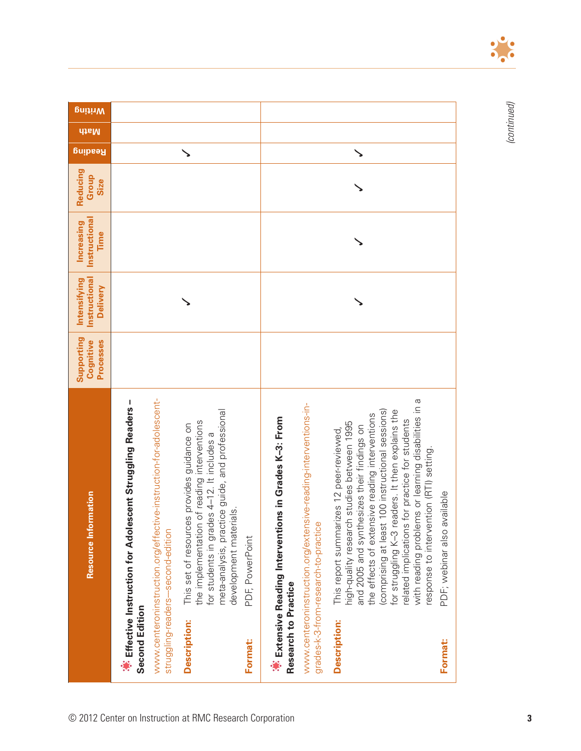|                      | Resource Information                                                                                                                                                                                                                                                                                                                                                                                                                                    | Supporting<br><b>Processes</b><br>Cognitive | Instructional<br>Intensifying<br><b>Delivery</b> | Instructional<br>Increasing<br>Time | Reducing<br>Group<br>Size | <u>Reading</u> | Writing<br>dtsM |
|----------------------|---------------------------------------------------------------------------------------------------------------------------------------------------------------------------------------------------------------------------------------------------------------------------------------------------------------------------------------------------------------------------------------------------------------------------------------------------------|---------------------------------------------|--------------------------------------------------|-------------------------------------|---------------------------|----------------|-----------------|
| Second Edition       | *** Effective Instruction for Adolescent Struggling Readers-                                                                                                                                                                                                                                                                                                                                                                                            |                                             |                                                  |                                     |                           |                |                 |
|                      | www.centeroninstruction.org/effective-instruction-for-adolescent-<br>struggling-readers--second-edition                                                                                                                                                                                                                                                                                                                                                 |                                             |                                                  |                                     |                           |                |                 |
| <b>Description:</b>  | meta-analysis, practice guide, and professional<br>the implementation of reading interventions<br>s provides guidance on<br>for students in grades 4-12. It includes a<br>development materials.<br>This set of resource                                                                                                                                                                                                                                |                                             |                                                  |                                     |                           |                |                 |
| <b>Format:</b>       | PDF, PowerPoint                                                                                                                                                                                                                                                                                                                                                                                                                                         |                                             |                                                  |                                     |                           |                |                 |
| Research to Practice | www.centeroninstruction.org/extensive-reading-interventions-in-<br>*** Extensive Reading Interventions in Grades K-3: From<br>grades-k-3-from-research-to-practice                                                                                                                                                                                                                                                                                      |                                             |                                                  |                                     |                           |                |                 |
| <b>Description:</b>  | with reading problems or learning disabilities in a<br>for struggling K-3 readers. It then explains the<br>100 instructional sessions)<br>the effects of extensive reading interventions<br>for practice for students<br>high-quality research studies between 1995<br>and 2005 and synthesizes their findings on<br>This report summarizes 12 peer-reviewed<br>response to intervention (RTI) setting.<br>(comprising at least<br>related implications |                                             |                                                  |                                     |                           |                |                 |
| Format:              | PDF; webinar also available                                                                                                                                                                                                                                                                                                                                                                                                                             |                                             |                                                  |                                     |                           |                |                 |



 $\sqrt{\bullet}$ ō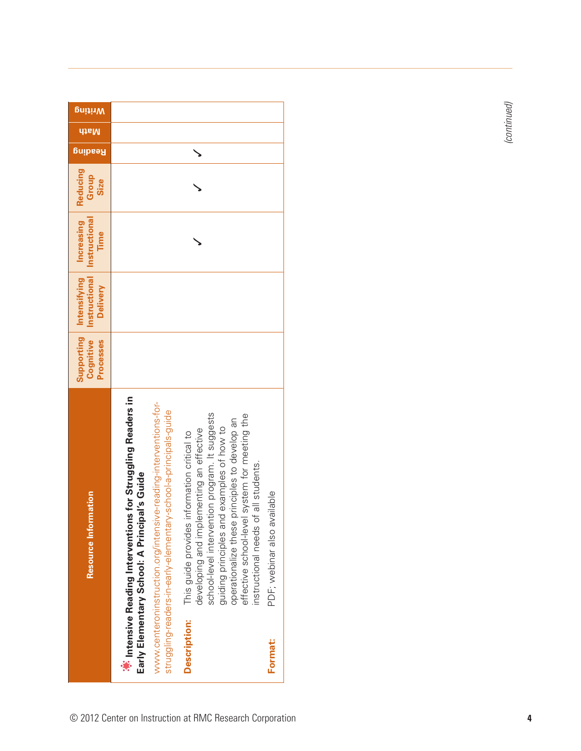| <b>Mriting</b>                                                     |                                                                                                                                                                                                                                                              |                                                                                                                                                                                                                                                                                                                                    |                                |
|--------------------------------------------------------------------|--------------------------------------------------------------------------------------------------------------------------------------------------------------------------------------------------------------------------------------------------------------|------------------------------------------------------------------------------------------------------------------------------------------------------------------------------------------------------------------------------------------------------------------------------------------------------------------------------------|--------------------------------|
| <b>dtsM</b>                                                        |                                                                                                                                                                                                                                                              |                                                                                                                                                                                                                                                                                                                                    |                                |
| Resqing                                                            |                                                                                                                                                                                                                                                              |                                                                                                                                                                                                                                                                                                                                    |                                |
| Reducing<br>Group<br>Size                                          |                                                                                                                                                                                                                                                              |                                                                                                                                                                                                                                                                                                                                    |                                |
| Increasing<br>Instructional<br>Time                                |                                                                                                                                                                                                                                                              |                                                                                                                                                                                                                                                                                                                                    |                                |
| Supporting Intensifying<br><b>Instructional</b><br><b>Delivery</b> |                                                                                                                                                                                                                                                              |                                                                                                                                                                                                                                                                                                                                    |                                |
| Cognitive<br><b>Processes</b>                                      |                                                                                                                                                                                                                                                              |                                                                                                                                                                                                                                                                                                                                    |                                |
| <b>Resource Information</b>                                        | <b>A</b> : Intensive Reading Interventions for Struggling Readers in<br>www.centeroninstruction.org/intensive-reading-interventions-for-<br>struggling-readers-in-early-elementary-school-a-principals-guide<br>Early Elementary School: A Principal's Guide | school-level intervention program. It suggests<br>effective school-level system for meeting the<br>operationalize these principles to develop an<br>guiding principles and examples of how to<br>developing and implementing an effective<br>This guide provides information critical to<br>of all students.<br>nstructional needs | available<br>PDF; webinar also |
|                                                                    |                                                                                                                                                                                                                                                              | <b>Description:</b>                                                                                                                                                                                                                                                                                                                | <b>Format:</b>                 |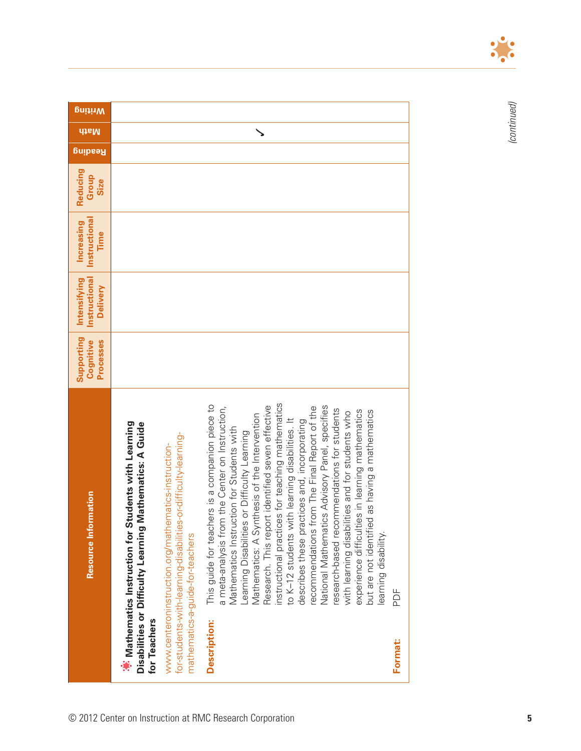| <b>Mriting</b>                                   |                                                                                                                                       |                                                                                                                                                             |                                                                                                                                                                                                                                                                                                                                                                                                                                                                                                                                                                                                                                                                                                                                                                                                                              |         |
|--------------------------------------------------|---------------------------------------------------------------------------------------------------------------------------------------|-------------------------------------------------------------------------------------------------------------------------------------------------------------|------------------------------------------------------------------------------------------------------------------------------------------------------------------------------------------------------------------------------------------------------------------------------------------------------------------------------------------------------------------------------------------------------------------------------------------------------------------------------------------------------------------------------------------------------------------------------------------------------------------------------------------------------------------------------------------------------------------------------------------------------------------------------------------------------------------------------|---------|
| <b>disM</b>                                      |                                                                                                                                       |                                                                                                                                                             |                                                                                                                                                                                                                                                                                                                                                                                                                                                                                                                                                                                                                                                                                                                                                                                                                              |         |
| <b>Reading</b>                                   |                                                                                                                                       |                                                                                                                                                             |                                                                                                                                                                                                                                                                                                                                                                                                                                                                                                                                                                                                                                                                                                                                                                                                                              |         |
| Reducing<br>Group<br>Size                        |                                                                                                                                       |                                                                                                                                                             |                                                                                                                                                                                                                                                                                                                                                                                                                                                                                                                                                                                                                                                                                                                                                                                                                              |         |
| Instructional<br>Increasing<br>Time              |                                                                                                                                       |                                                                                                                                                             |                                                                                                                                                                                                                                                                                                                                                                                                                                                                                                                                                                                                                                                                                                                                                                                                                              |         |
| Instructional<br>Intensifying<br><b>Delivery</b> |                                                                                                                                       |                                                                                                                                                             |                                                                                                                                                                                                                                                                                                                                                                                                                                                                                                                                                                                                                                                                                                                                                                                                                              |         |
| Supporting<br>Processes<br>Cognitive             |                                                                                                                                       |                                                                                                                                                             |                                                                                                                                                                                                                                                                                                                                                                                                                                                                                                                                                                                                                                                                                                                                                                                                                              |         |
| <b>Resource Information</b>                      | *** Mathematics Instruction for Students with Learning<br>Mathematics: A Guide<br>Disabilities or Difficulty Learning<br>for Teachers | for-students-with-learning-disabilities-or-difficulty-learning-<br>www.centeroninstruction.org/mathematics-instruction-<br>mathematics-a-guide-for-teachers | instructional practices for teaching mathematics<br>ers is a companion piece to<br>a meta-analysis from the Center on Instruction,<br>National Mathematics Advisory Panel, specifies<br>identified seven effective<br>recommendations from The Final Report of the<br>research-based recommendations for students<br>experience difficulties in learning mathematics<br>but are not identified as having a mathematics<br>lities and for students who<br>Mathematics: A Synthesis of the Intervention<br>to K-12 students with learning disabilities. It<br>describes these practices and, incorporating<br>Mathematics Instruction for Students with<br>Learning Disabilities or Difficulty Learning<br>This guide for teach<br>Research. This repo<br>with learning disabil<br>learning disability.<br><b>Description:</b> | PDF     |
|                                                  |                                                                                                                                       |                                                                                                                                                             |                                                                                                                                                                                                                                                                                                                                                                                                                                                                                                                                                                                                                                                                                                                                                                                                                              | Format: |



 $\bullet$  $\bullet$  $\bullet$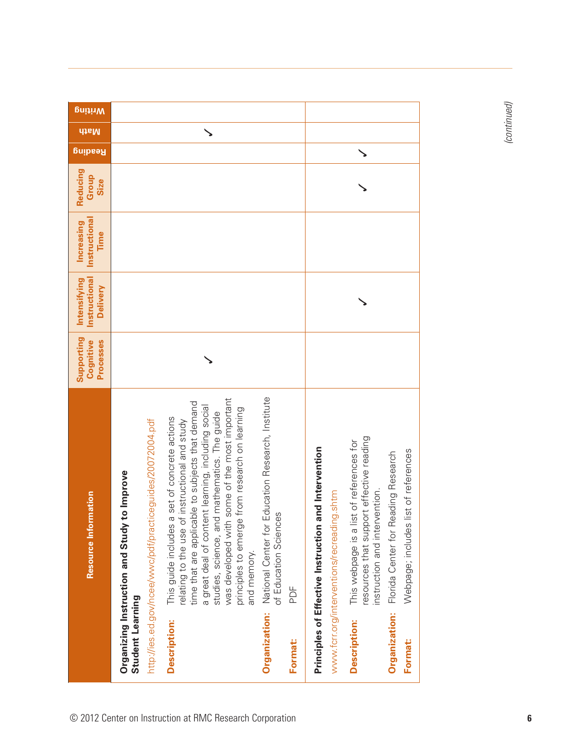| <b>d</b> taM<br><b>Reading</b><br>Reducing<br>Group<br>Size<br>Instructional<br>Increasing<br>Time<br>Instructional<br>Intensifying<br><b>Delivery</b><br>Supporting<br>Processes<br>Cognitive<br>National Center for Education Research, Institute<br>was developed with some of the most important<br>time that are applicable to subjects that demand<br>a great deal of content learning, including social<br>principles to emerge from research on learning<br>studies, science, and mathematics. The guide<br>a set of concrete actions<br>of instructional and study<br>resources that support effective reading<br>list of references for<br>and Intervention<br>Webpage; includes list of references<br>Florida Center for Reading Research<br>to Improve<br>instruction and intervention.<br><b>Resource Information</b><br>of Education Sciences<br>This guide includes<br>relating to the use<br>This webpage is a<br>and memory.<br>PDF | <b>Mriting</b> |                                                                                                                                                                       |                                                                                                                                      |
|------------------------------------------------------------------------------------------------------------------------------------------------------------------------------------------------------------------------------------------------------------------------------------------------------------------------------------------------------------------------------------------------------------------------------------------------------------------------------------------------------------------------------------------------------------------------------------------------------------------------------------------------------------------------------------------------------------------------------------------------------------------------------------------------------------------------------------------------------------------------------------------------------------------------------------------------------|----------------|-----------------------------------------------------------------------------------------------------------------------------------------------------------------------|--------------------------------------------------------------------------------------------------------------------------------------|
|                                                                                                                                                                                                                                                                                                                                                                                                                                                                                                                                                                                                                                                                                                                                                                                                                                                                                                                                                      |                |                                                                                                                                                                       |                                                                                                                                      |
|                                                                                                                                                                                                                                                                                                                                                                                                                                                                                                                                                                                                                                                                                                                                                                                                                                                                                                                                                      |                |                                                                                                                                                                       |                                                                                                                                      |
|                                                                                                                                                                                                                                                                                                                                                                                                                                                                                                                                                                                                                                                                                                                                                                                                                                                                                                                                                      |                |                                                                                                                                                                       |                                                                                                                                      |
|                                                                                                                                                                                                                                                                                                                                                                                                                                                                                                                                                                                                                                                                                                                                                                                                                                                                                                                                                      |                |                                                                                                                                                                       |                                                                                                                                      |
|                                                                                                                                                                                                                                                                                                                                                                                                                                                                                                                                                                                                                                                                                                                                                                                                                                                                                                                                                      |                |                                                                                                                                                                       |                                                                                                                                      |
|                                                                                                                                                                                                                                                                                                                                                                                                                                                                                                                                                                                                                                                                                                                                                                                                                                                                                                                                                      |                |                                                                                                                                                                       |                                                                                                                                      |
|                                                                                                                                                                                                                                                                                                                                                                                                                                                                                                                                                                                                                                                                                                                                                                                                                                                                                                                                                      |                | http://ies.ed.gov/ncee/wwc/pdf/practiceguides/20072004.pdf<br>Organizing Instruction and Study<br>Student Learning<br>Organization:<br><b>Description:</b><br>Format: | www.fcrr.org/interventions/recreading.shtm<br>Principles of Effective Instruction<br>Organization:<br><b>Description:</b><br>Format: |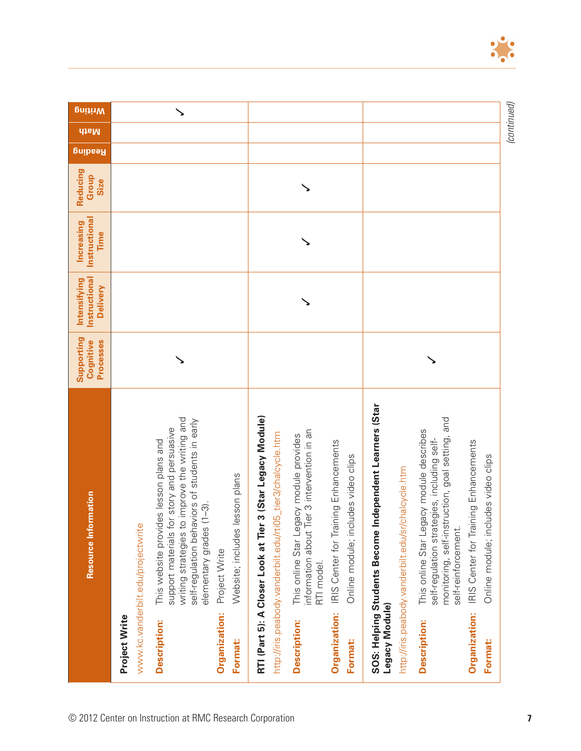| <b>Mriting</b>                                   |                                                                                                                                                                                                                                                                                                                                                                                        |                                                                                                                                                                                                                                                                                                                                                                          | (continued)                                                                                                                                                                                                                                                                                                                                                                                                                                     |
|--------------------------------------------------|----------------------------------------------------------------------------------------------------------------------------------------------------------------------------------------------------------------------------------------------------------------------------------------------------------------------------------------------------------------------------------------|--------------------------------------------------------------------------------------------------------------------------------------------------------------------------------------------------------------------------------------------------------------------------------------------------------------------------------------------------------------------------|-------------------------------------------------------------------------------------------------------------------------------------------------------------------------------------------------------------------------------------------------------------------------------------------------------------------------------------------------------------------------------------------------------------------------------------------------|
| <b>disM</b><br><b>Resqing</b>                    |                                                                                                                                                                                                                                                                                                                                                                                        |                                                                                                                                                                                                                                                                                                                                                                          |                                                                                                                                                                                                                                                                                                                                                                                                                                                 |
| Reducing<br>Group<br>Size                        |                                                                                                                                                                                                                                                                                                                                                                                        |                                                                                                                                                                                                                                                                                                                                                                          |                                                                                                                                                                                                                                                                                                                                                                                                                                                 |
| Instructional<br><b>Increasing</b><br>Time       |                                                                                                                                                                                                                                                                                                                                                                                        |                                                                                                                                                                                                                                                                                                                                                                          |                                                                                                                                                                                                                                                                                                                                                                                                                                                 |
| Instructional<br>Intensifying<br><b>Delivery</b> |                                                                                                                                                                                                                                                                                                                                                                                        |                                                                                                                                                                                                                                                                                                                                                                          |                                                                                                                                                                                                                                                                                                                                                                                                                                                 |
| Supporting<br>Processes<br>Cognitive             |                                                                                                                                                                                                                                                                                                                                                                                        |                                                                                                                                                                                                                                                                                                                                                                          |                                                                                                                                                                                                                                                                                                                                                                                                                                                 |
| Resource Information                             | writing strategies to improve the writing and<br>self-regulation behaviors of students in early<br>support materials for story and persuasive<br>This website provides lesson plans and<br>Website; includes lesson plans<br>$(1-3)$ .<br>www.kc.vanderbilt.edu/projectwrite<br>elementary grades<br>Project Write<br>Organization:<br>Project Write<br><b>Description:</b><br>Format: | 3 (Star Legacy Module)<br>information about Tier 3 intervention in an<br>http://iris.peabody.vanderbilt.edu/rti05_tier3/chalcycle.htm<br>This online Star Legacy module provides<br>IRIS Center for Training Enhancements<br>Online module; includes video clips<br>RTI (Part 5): A Closer Look at Tier<br>RTI model.<br>Organization:<br><b>Description:</b><br>Format: | SOS: Helping Students Become Independent Learners (Star<br>monitoring, self-instruction, goal setting, and<br>This online Star Legacy module describes<br>self-regulation strategies, including self-<br>IRIS Center for Training Enhancements<br>Online module; includes video clips<br>http://iris.peabody.vanderbilt.edu/sr/chalcycle.htm<br>self-reinforcement.<br>Legacy Module)<br>Organization:<br><b>Description:</b><br><b>Format:</b> |

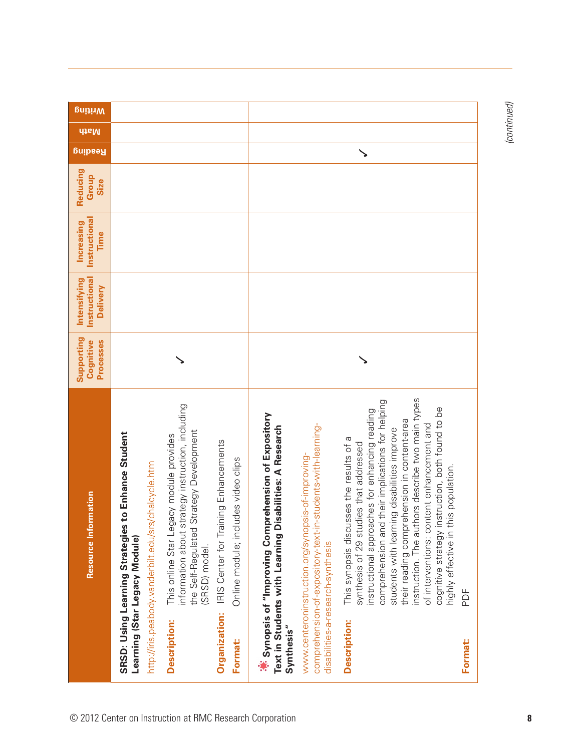| <b>Duitiny</b>                                          |                                                                                                                                                                                                                                                                                                                                                                                                                                               |                                                                                                                                                                                                                                                                                                                                                                                                                                                                                                                                                                                                                                                                                                                                                                                                                                         |
|---------------------------------------------------------|-----------------------------------------------------------------------------------------------------------------------------------------------------------------------------------------------------------------------------------------------------------------------------------------------------------------------------------------------------------------------------------------------------------------------------------------------|-----------------------------------------------------------------------------------------------------------------------------------------------------------------------------------------------------------------------------------------------------------------------------------------------------------------------------------------------------------------------------------------------------------------------------------------------------------------------------------------------------------------------------------------------------------------------------------------------------------------------------------------------------------------------------------------------------------------------------------------------------------------------------------------------------------------------------------------|
| <b>dtaM</b>                                             |                                                                                                                                                                                                                                                                                                                                                                                                                                               |                                                                                                                                                                                                                                                                                                                                                                                                                                                                                                                                                                                                                                                                                                                                                                                                                                         |
| <b>Buipeay</b>                                          |                                                                                                                                                                                                                                                                                                                                                                                                                                               | ╲                                                                                                                                                                                                                                                                                                                                                                                                                                                                                                                                                                                                                                                                                                                                                                                                                                       |
| Reducing<br>Group<br>Size                               |                                                                                                                                                                                                                                                                                                                                                                                                                                               |                                                                                                                                                                                                                                                                                                                                                                                                                                                                                                                                                                                                                                                                                                                                                                                                                                         |
| Instructional<br><b>Increasing</b><br>Time              |                                                                                                                                                                                                                                                                                                                                                                                                                                               |                                                                                                                                                                                                                                                                                                                                                                                                                                                                                                                                                                                                                                                                                                                                                                                                                                         |
| <b>Instructional</b><br>Intensifying<br><b>Delivery</b> |                                                                                                                                                                                                                                                                                                                                                                                                                                               |                                                                                                                                                                                                                                                                                                                                                                                                                                                                                                                                                                                                                                                                                                                                                                                                                                         |
| Supporting<br>Processes<br>Cognitive                    |                                                                                                                                                                                                                                                                                                                                                                                                                                               |                                                                                                                                                                                                                                                                                                                                                                                                                                                                                                                                                                                                                                                                                                                                                                                                                                         |
| Resource Information                                    | information about strategy instruction, including<br>the Self-Regulated Strategy Development<br>to Enhance Student<br>This online Star Legacy module provides<br>IRIS Center for Training Enhancements<br>Online module; includes video clips<br>http://iris.peabody.vanderbilt.edu/srs/chalcycle.htm<br>SRSD: Using Learning Strategies<br>Learning (Star Legacy Module)<br>(SRSD) model.<br>Organization:<br>Description:<br><b>Format:</b> | instruction. The authors describe two main types<br>their implications for helping<br>cognitive strategy instruction, both found to be<br>instructional approaches for enhancing reading<br>***** Synopsis of "Improving Comprehension of Expository<br>their reading comprehension in content-area<br>of interventions: content enhancement and<br>comprehension-of-expository-text-in-students-with-learning-<br>Text in Students with Learning Disabilities: A Research<br>students with learning disabilities improve<br>ises the results of a<br>synthesis of 29 studies that addressed<br>www.centeroninstruction.org/synopsis-of-improving-<br>is population.<br>This synopsis discus<br>highly effective in th<br>comprehension and<br>disabilities-a-research-synthesis<br>PDF<br><b>Description:</b><br>Synthesis"<br>Format: |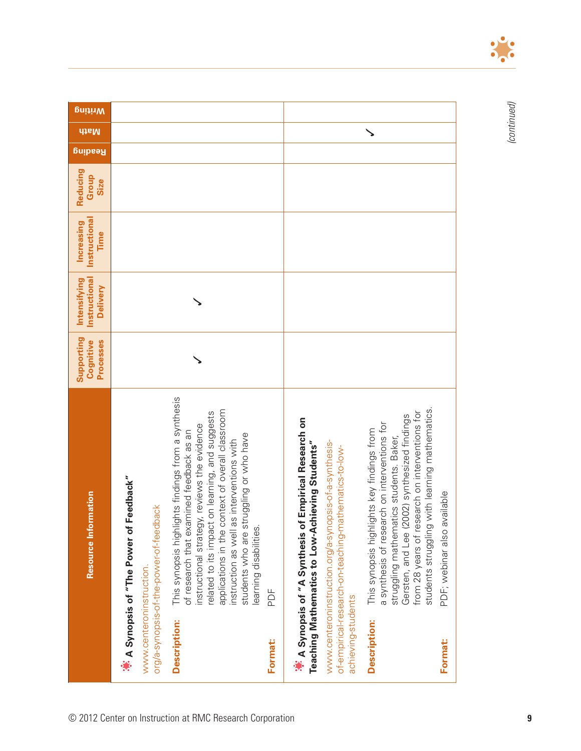|                          | Resource Information                                                                                                                                                                                                                                                                                                                                                    | Supporting<br>Cognitive<br>Processes | Instructional<br>Intensifying<br><b>Delivery</b> | Instructional<br>Increasing<br>Time | Reducing<br>Group<br>Size | Resqing | <b>Duitiny</b><br><b>dtsM</b> |  |
|--------------------------|-------------------------------------------------------------------------------------------------------------------------------------------------------------------------------------------------------------------------------------------------------------------------------------------------------------------------------------------------------------------------|--------------------------------------|--------------------------------------------------|-------------------------------------|---------------------------|---------|-------------------------------|--|
|                          | A Synopsis of "The Power of Feedback"                                                                                                                                                                                                                                                                                                                                   |                                      |                                                  |                                     |                           |         |                               |  |
| www.centeroninstruction. | org/a-synopsis-of-the-power-of-feedback                                                                                                                                                                                                                                                                                                                                 |                                      |                                                  |                                     |                           |         |                               |  |
| <b>Description:</b>      | This synopsis highlights findings from a synthesis<br>applications in the context of overall classroom<br>related to its impact on learning, and suggests<br>instructional strategy, reviews the evidence<br>of research that examined feedback as an<br>students who are struggling or who have<br>instruction as well as interventions with<br>learning disabilities. |                                      |                                                  |                                     |                           |         |                               |  |
| Format:                  | PDF                                                                                                                                                                                                                                                                                                                                                                     |                                      |                                                  |                                     |                           |         |                               |  |
| achieving-students       | <b>Empirical Research on</b><br>Teaching Mathematics to Low-Achieving Students"<br>www.centeroninstruction.org/a-synopsis-of-a-synthesis-<br>of-empirical-research-on-teaching-mathematics-to-low-<br>** A Synopsis of "A Synthesis of                                                                                                                                  |                                      |                                                  |                                     |                           |         |                               |  |
| <b>Description:</b>      | students struggling with learning mathematics.<br>from 28 years of research on interventions for<br>Gersten, and Lee (2002) synthesized findings<br>a synthesis of research on interventions for<br>ints key findings from<br>struggling mathematics students. Baker,<br>This synopsis highlig                                                                          |                                      |                                                  |                                     |                           |         | ゝ                             |  |
| Format:                  | allable<br>PDF; webinar also av                                                                                                                                                                                                                                                                                                                                         |                                      |                                                  |                                     |                           |         |                               |  |



 $\bullet$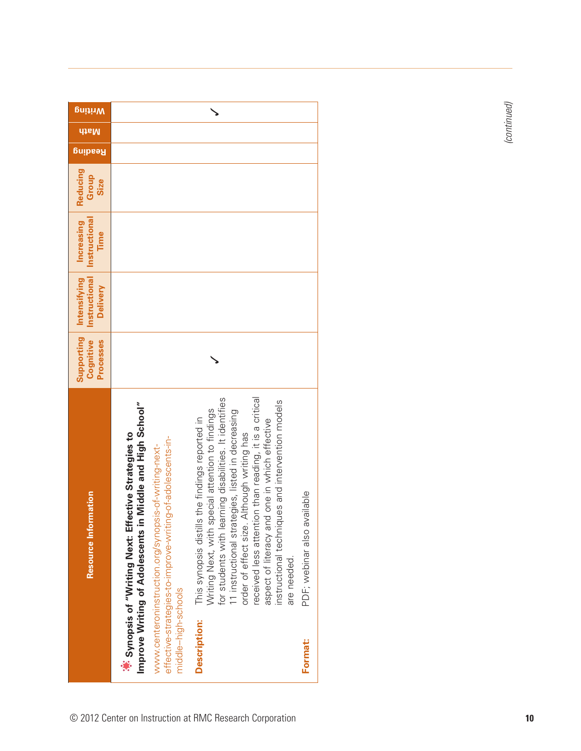| <b>Writing</b>                                   |                                                                                                                                                                                                                                                          | ゝ                                                                                                                                                                                                                                                                                                                                                                                                                                                 |                                |             |
|--------------------------------------------------|----------------------------------------------------------------------------------------------------------------------------------------------------------------------------------------------------------------------------------------------------------|---------------------------------------------------------------------------------------------------------------------------------------------------------------------------------------------------------------------------------------------------------------------------------------------------------------------------------------------------------------------------------------------------------------------------------------------------|--------------------------------|-------------|
| <b>dtsM</b>                                      |                                                                                                                                                                                                                                                          |                                                                                                                                                                                                                                                                                                                                                                                                                                                   |                                | (continued) |
| <b>Resding</b>                                   |                                                                                                                                                                                                                                                          |                                                                                                                                                                                                                                                                                                                                                                                                                                                   |                                |             |
| Reducing<br>Group<br>Size                        |                                                                                                                                                                                                                                                          |                                                                                                                                                                                                                                                                                                                                                                                                                                                   |                                |             |
| Instructional<br>Increasing<br>Time              |                                                                                                                                                                                                                                                          |                                                                                                                                                                                                                                                                                                                                                                                                                                                   |                                |             |
| Instructional<br>Intensifying<br><b>Delivery</b> |                                                                                                                                                                                                                                                          |                                                                                                                                                                                                                                                                                                                                                                                                                                                   |                                |             |
| Supporting<br>Processes<br>Cognitive             |                                                                                                                                                                                                                                                          |                                                                                                                                                                                                                                                                                                                                                                                                                                                   |                                |             |
| Resource Information                             | in Middle and High School"<br><b>ffective Strategies to</b><br>effective-strategies-to-improve-writing-of-adolescents-in-<br>www.centeroninstruction.org/synopsis-of-writing-next-<br>** Synopsis of "Writing Next: Et<br>Improve Writing of Adolescents | received less attention than reading, it is a critical<br>for students with learning disabilities. It identifies<br>instructional techniques and intervention models<br>special attention to findings<br>11 instructional strategies, listed in decreasing<br>This synopsis distills the findings reported in<br>aspect of literacy and one in which effective<br>order of effect size. Although writing has<br>Writing Next, with<br>are needed. | available<br>PDF; webinar also |             |
|                                                  | middle-high-schools                                                                                                                                                                                                                                      | <b>Description:</b>                                                                                                                                                                                                                                                                                                                                                                                                                               | <b>Format:</b>                 |             |